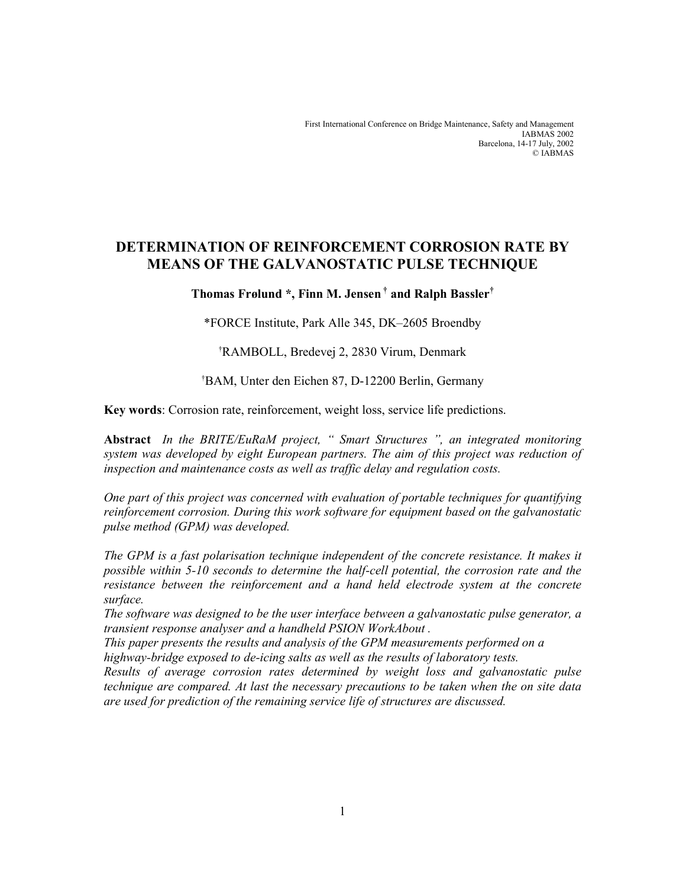First International Conference on Bridge Maintenance, Safety and Management IABMAS 2002 Barcelona, 14-17 July, 2002 © IABMAS

# DETERMINATION OF REINFORCEMENT CORROSION RATE BY MEANS OF THE GALVANOSTATIC PULSE TECHNIQUE

# Thomas Frølund \*, Finn M. Jensen † and Ralph Bassler†

\*FORCE Institute, Park Alle 345, DK–2605 Broendby

†RAMBOLL, Bredevej 2, 2830 Virum, Denmark

†BAM, Unter den Eichen 87, D-12200 Berlin, Germany

Key words: Corrosion rate, reinforcement, weight loss, service life predictions.

Abstract In the BRITE/EuRaM project, " Smart Structures ", an integrated monitoring system was developed by eight European partners. The aim of this project was reduction of inspection and maintenance costs as well as traffic delay and regulation costs.

One part of this project was concerned with evaluation of portable techniques for quantifying reinforcement corrosion. During this work software for equipment based on the galvanostatic pulse method (GPM) was developed.

The GPM is a fast polarisation technique independent of the concrete resistance. It makes it possible within 5-10 seconds to determine the half-cell potential, the corrosion rate and the resistance between the reinforcement and a hand held electrode system at the concrete surface.

The software was designed to be the user interface between a galvanostatic pulse generator, a transient response analyser and a handheld PSION WorkAbout .

This paper presents the results and analysis of the GPM measurements performed on a highway-bridge exposed to de-icing salts as well as the results of laboratory tests.

Results of average corrosion rates determined by weight loss and galvanostatic pulse technique are compared. At last the necessary precautions to be taken when the on site data are used for prediction of the remaining service life of structures are discussed.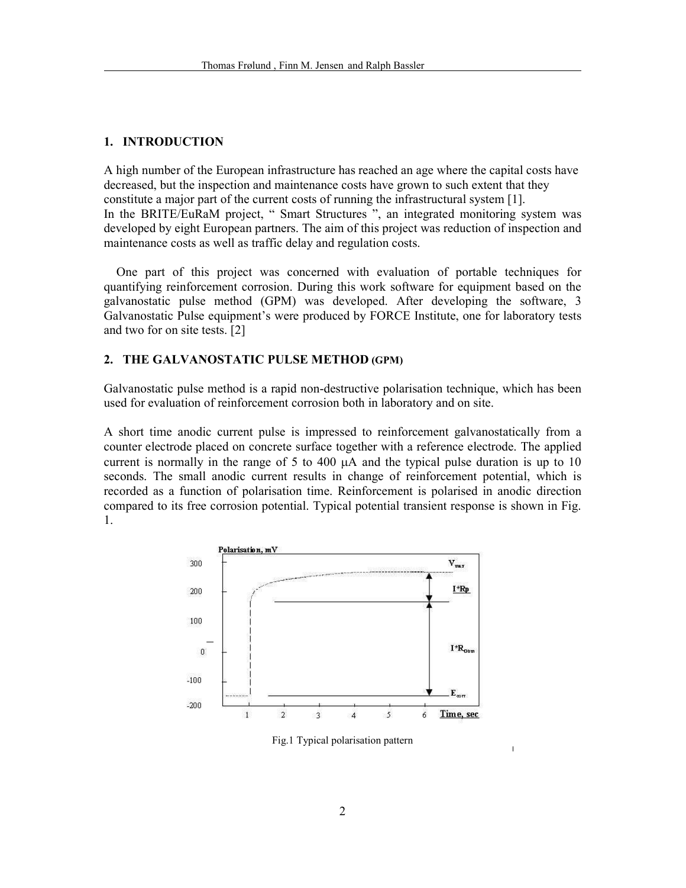## 1. INTRODUCTION

A high number of the European infrastructure has reached an age where the capital costs have decreased, but the inspection and maintenance costs have grown to such extent that they constitute a major part of the current costs of running the infrastructural system [1]. In the BRITE/EuRaM project, " Smart Structures ", an integrated monitoring system was developed by eight European partners. The aim of this project was reduction of inspection and maintenance costs as well as traffic delay and regulation costs.

One part of this project was concerned with evaluation of portable techniques for quantifying reinforcement corrosion. During this work software for equipment based on the galvanostatic pulse method (GPM) was developed. After developing the software, 3 Galvanostatic Pulse equipment's were produced by FORCE Institute, one for laboratory tests and two for on site tests. [2]

#### 2. THE GALVANOSTATIC PULSE METHOD (GPM)

Galvanostatic pulse method is a rapid non-destructive polarisation technique, which has been used for evaluation of reinforcement corrosion both in laboratory and on site.

A short time anodic current pulse is impressed to reinforcement galvanostatically from a counter electrode placed on concrete surface together with a reference electrode. The applied current is normally in the range of 5 to 400 µA and the typical pulse duration is up to 10 seconds. The small anodic current results in change of reinforcement potential, which is recorded as a function of polarisation time. Reinforcement is polarised in anodic direction compared to its free corrosion potential. Typical potential transient response is shown in Fig. 1.



Fig.1 Typical polarisation pattern

 $\overline{1}$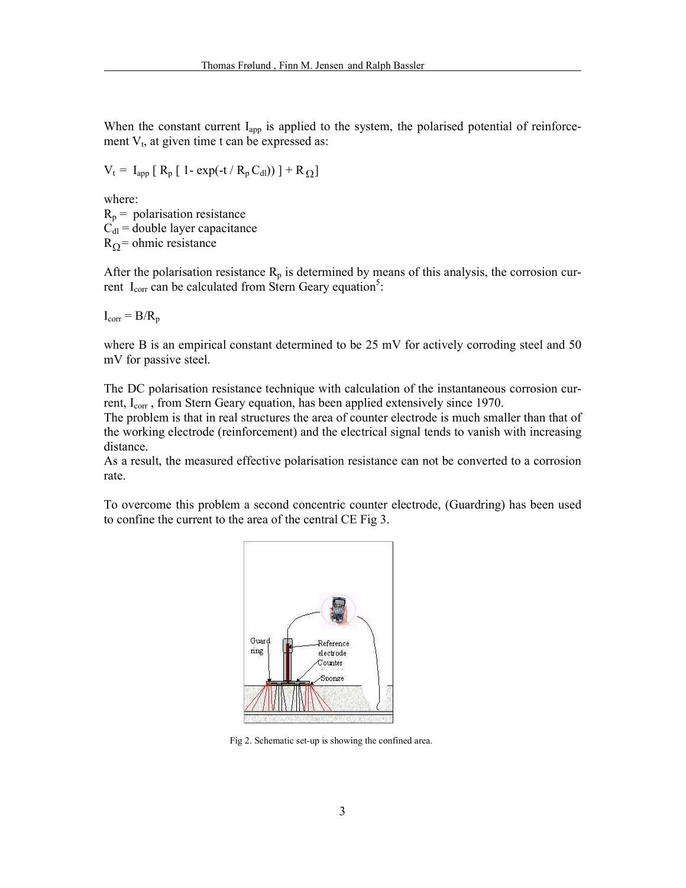When the constant current I<sub>app</sub> is applied to the system, the polarised potential of reinforcement  $V_t$ , at given time t can be expressed as:

$$
V_t = I_{app} [ R_p [ 1 - exp(-t / R_p C_{dl})) ] + R_{\Omega} ]
$$

where:  $R_p$  = polarisation resistance  $C_{\rm dl}$  = double layer capacitance  $R_{\Omega}$  = ohmic resistance

After the polarisation resistance  $R_p$  is determined by means of this analysis, the corrosion current  $I_{corr}$  can be calculated from Stern Geary equation<sup>5</sup>:

 $I_{corr} = B/R_p$ 

where B is an empirical constant determined to be 25 mV for actively corroding steel and 50 mV for passive steel.

The DC polarisation resistance technique with calculation of the instantaneous corrosion current, I<sub>corr</sub>, from Stern Geary equation, has been applied extensively since 1970.

The problem is that in real structures the area of counter electrode is much smaller than that of the working electrode (reinforcement) and the electrical signal tends to vanish with increasing distance.

As a result, the measured effective polarisation resistance can not be converted to a corrosion rate.

To overcome this problem a second concentric counter electrode, (Guardring) has been used to confine the current to the area of the central CE Fig 3.



Fig 2. Schematic set-up is showing the confined area.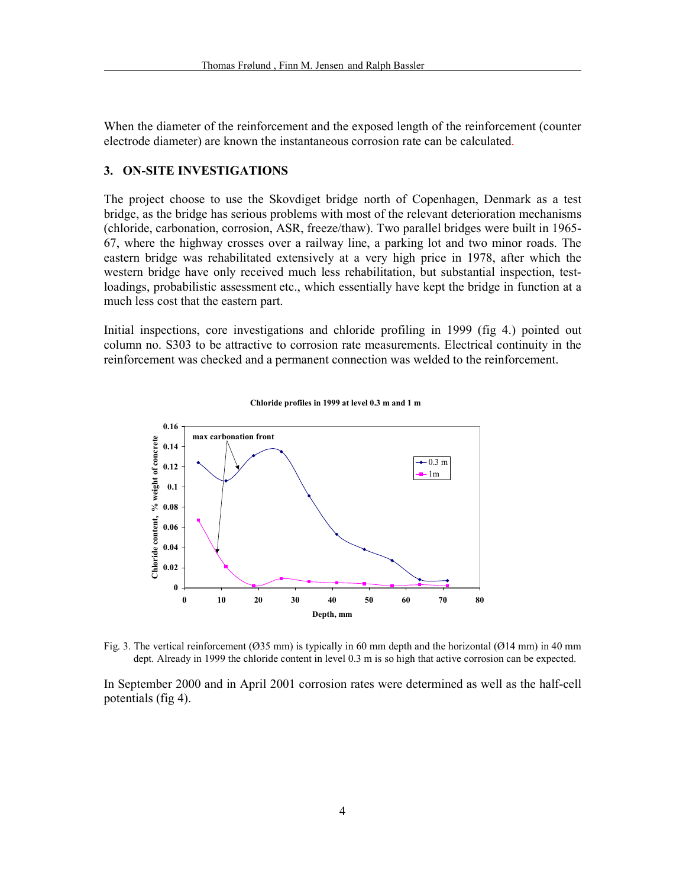When the diameter of the reinforcement and the exposed length of the reinforcement (counter electrode diameter) are known the instantaneous corrosion rate can be calculated.

#### 3. ON-SITE INVESTIGATIONS

The project choose to use the Skovdiget bridge north of Copenhagen, Denmark as a test bridge, as the bridge has serious problems with most of the relevant deterioration mechanisms (chloride, carbonation, corrosion, ASR, freeze/thaw). Two parallel bridges were built in 1965- 67, where the highway crosses over a railway line, a parking lot and two minor roads. The eastern bridge was rehabilitated extensively at a very high price in 1978, after which the western bridge have only received much less rehabilitation, but substantial inspection, testloadings, probabilistic assessment etc., which essentially have kept the bridge in function at a much less cost that the eastern part.

Initial inspections, core investigations and chloride profiling in 1999 (fig 4.) pointed out column no. S303 to be attractive to corrosion rate measurements. Electrical continuity in the reinforcement was checked and a permanent connection was welded to the reinforcement.



Chloride profiles in 1999 at level 0.3 m and 1 m

Fig. 3. The vertical reinforcement (Ø35 mm) is typically in 60 mm depth and the horizontal (Ø14 mm) in 40 mm dept. Already in 1999 the chloride content in level 0.3 m is so high that active corrosion can be expected.

In September 2000 and in April 2001 corrosion rates were determined as well as the half-cell potentials (fig 4).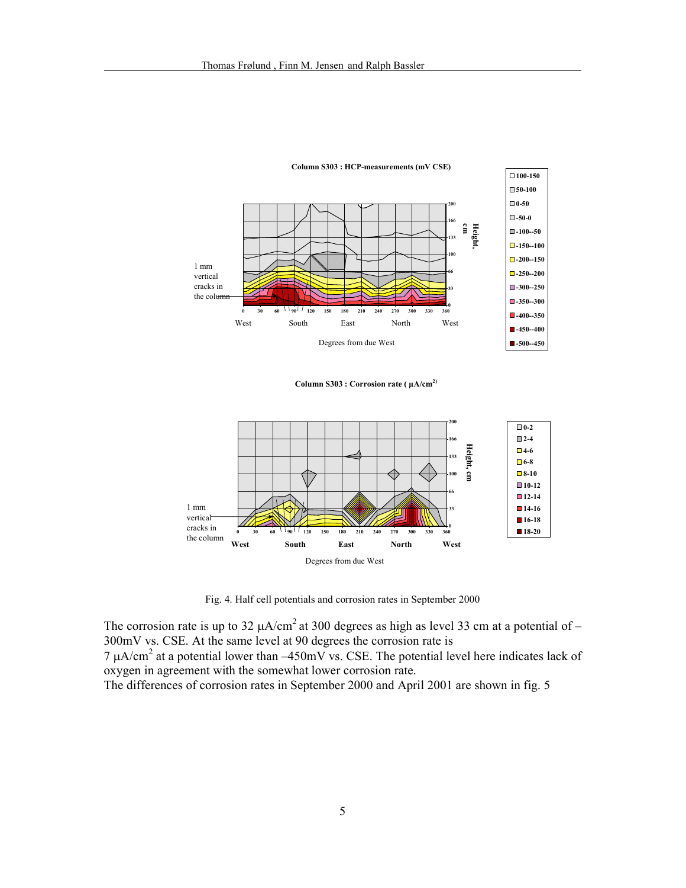

Column S303 : Corrosion rate ( $\mu A/cm^{2}$ )



Fig. 4. Half cell potentials and corrosion rates in September 2000

The corrosion rate is up to 32  $\mu$ A/cm<sup>2</sup> at 300 degrees as high as level 33 cm at a potential of – 300mV vs. CSE. At the same level at 90 degrees the corrosion rate is

 $7 \mu A/cm^2$  at a potential lower than  $-450 \text{mV}$  vs. CSE. The potential level here indicates lack of oxygen in agreement with the somewhat lower corrosion rate.

The differences of corrosion rates in September 2000 and April 2001 are shown in fig. 5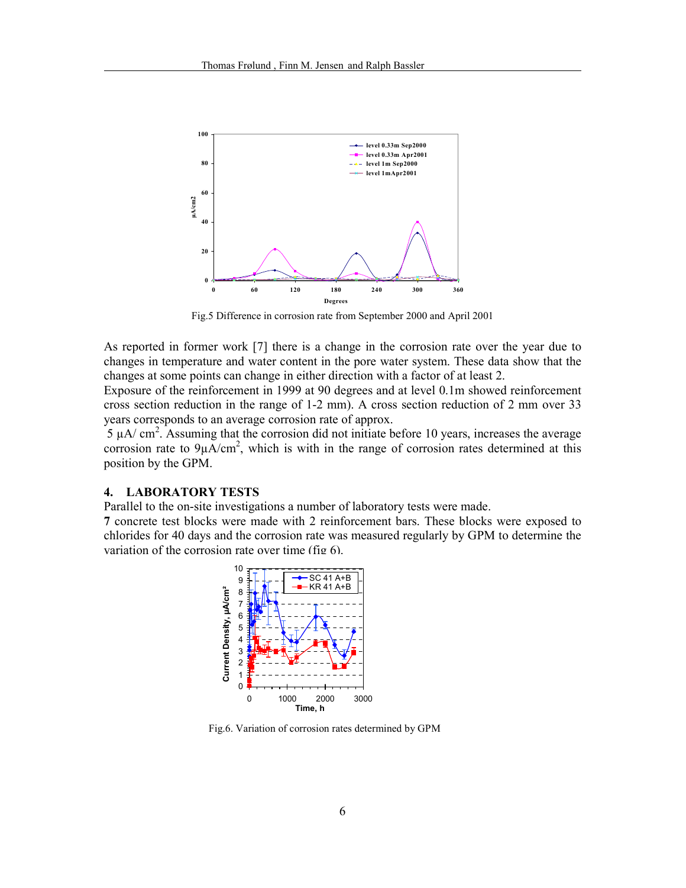

Fig.5 Difference in corrosion rate from September 2000 and April 2001

As reported in former work [7] there is a change in the corrosion rate over the year due to changes in temperature and water content in the pore water system. These data show that the changes at some points can change in either direction with a factor of at least 2.

Exposure of the reinforcement in 1999 at 90 degrees and at level 0.1m showed reinforcement cross section reduction in the range of 1-2 mm). A cross section reduction of 2 mm over 33 years corresponds to an average corrosion rate of approx.

 $5 \mu A/cm<sup>2</sup>$ . Assuming that the corrosion did not initiate before 10 years, increases the average corrosion rate to  $9\mu A/cm^2$ , which is with in the range of corrosion rates determined at this position by the GPM.

## 4. LABORATORY TESTS

Parallel to the on-site investigations a number of laboratory tests were made.

7 concrete test blocks were made with 2 reinforcement bars. These blocks were exposed to chlorides for 40 days and the corrosion rate was measured regularly by GPM to determine the variation of the corrosion rate over time (fig 6).



Fig.6. Variation of corrosion rates determined by GPM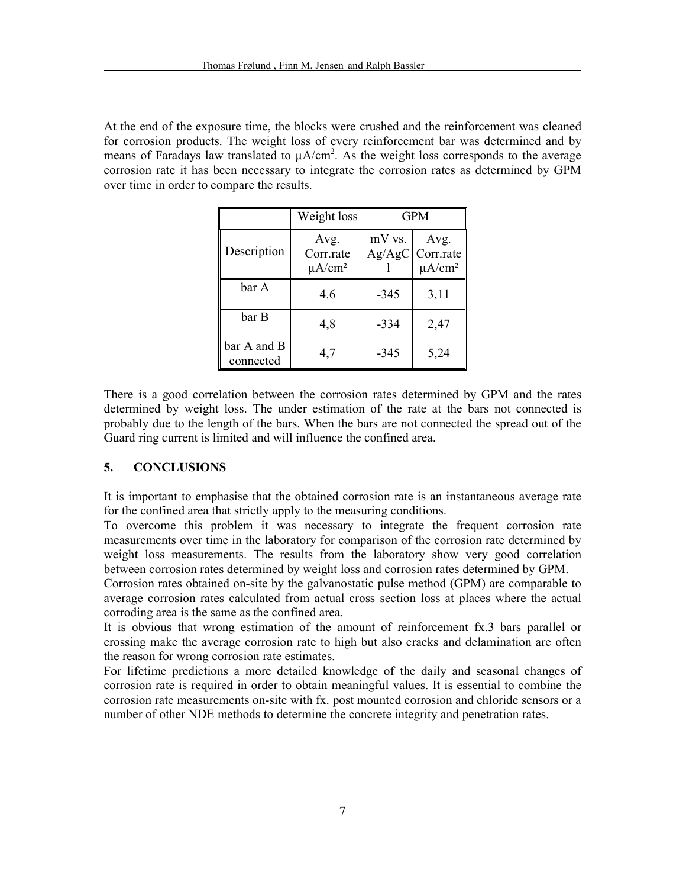At the end of the exposure time, the blocks were crushed and the reinforcement was cleaned for corrosion products. The weight loss of every reinforcement bar was determined and by means of Faradays law translated to  $\mu A/cm^2$ . As the weight loss corresponds to the average corrosion rate it has been necessary to integrate the corrosion rates as determined by GPM over time in order to compare the results.

|                          | Weight loss                                  | <b>GPM</b>       |                                   |
|--------------------------|----------------------------------------------|------------------|-----------------------------------|
| Description              | Avg.<br>Corr.rate<br>$\mu$ A/cm <sup>2</sup> | mV vs.<br>Ag/AgC | Avg.<br>Corr.rate<br>$\mu A/cm^2$ |
| bar A                    | 4.6                                          | $-345$           | 3,11                              |
| bar B                    | 4,8                                          | $-334$           | 2,47                              |
| bar A and B<br>connected | 4,7                                          | $-345$           | 5,24                              |

There is a good correlation between the corrosion rates determined by GPM and the rates determined by weight loss. The under estimation of the rate at the bars not connected is probably due to the length of the bars. When the bars are not connected the spread out of the Guard ring current is limited and will influence the confined area.

## 5. CONCLUSIONS

It is important to emphasise that the obtained corrosion rate is an instantaneous average rate for the confined area that strictly apply to the measuring conditions.

To overcome this problem it was necessary to integrate the frequent corrosion rate measurements over time in the laboratory for comparison of the corrosion rate determined by weight loss measurements. The results from the laboratory show very good correlation between corrosion rates determined by weight loss and corrosion rates determined by GPM.

Corrosion rates obtained on-site by the galvanostatic pulse method (GPM) are comparable to average corrosion rates calculated from actual cross section loss at places where the actual corroding area is the same as the confined area.

It is obvious that wrong estimation of the amount of reinforcement fx.3 bars parallel or crossing make the average corrosion rate to high but also cracks and delamination are often the reason for wrong corrosion rate estimates.

For lifetime predictions a more detailed knowledge of the daily and seasonal changes of corrosion rate is required in order to obtain meaningful values. It is essential to combine the corrosion rate measurements on-site with fx. post mounted corrosion and chloride sensors or a number of other NDE methods to determine the concrete integrity and penetration rates.